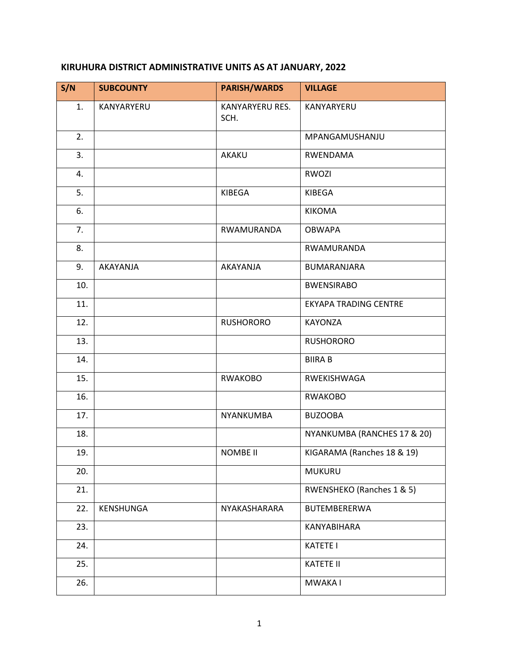## **KIRUHURA DISTRICT ADMINISTRATIVE UNITS AS AT JANUARY, 2022**

| S/N | <b>SUBCOUNTY</b> | <b>PARISH/WARDS</b>     | <b>VILLAGE</b>               |
|-----|------------------|-------------------------|------------------------------|
| 1.  | KANYARYERU       | KANYARYERU RES.<br>SCH. | KANYARYERU                   |
| 2.  |                  |                         | MPANGAMUSHANJU               |
| 3.  |                  | AKAKU                   | RWENDAMA                     |
| 4.  |                  |                         | <b>RWOZI</b>                 |
| 5.  |                  | KIBEGA                  | KIBEGA                       |
| 6.  |                  |                         | <b>KIKOMA</b>                |
| 7.  |                  | RWAMURANDA              | <b>OBWAPA</b>                |
| 8.  |                  |                         | RWAMURANDA                   |
| 9.  | AKAYANJA         | AKAYANJA                | <b>BUMARANJARA</b>           |
| 10. |                  |                         | <b>BWENSIRABO</b>            |
| 11. |                  |                         | <b>EKYAPA TRADING CENTRE</b> |
| 12. |                  | <b>RUSHORORO</b>        | <b>KAYONZA</b>               |
| 13. |                  |                         | <b>RUSHORORO</b>             |
| 14. |                  |                         | <b>BIIRA B</b>               |
| 15. |                  | <b>RWAKOBO</b>          | RWEKISHWAGA                  |
| 16. |                  |                         | <b>RWAKOBO</b>               |
| 17. |                  | NYANKUMBA               | <b>BUZOOBA</b>               |
| 18. |                  |                         | NYANKUMBA (RANCHES 17 & 20)  |
| 19. |                  | <b>NOMBE II</b>         | KIGARAMA (Ranches 18 & 19)   |
| 20. |                  |                         | <b>MUKURU</b>                |
| 21. |                  |                         | RWENSHEKO (Ranches 1 & 5)    |
| 22. | KENSHUNGA        | NYAKASHARARA            | BUTEMBERERWA                 |
| 23. |                  |                         | KANYABIHARA                  |
| 24. |                  |                         | <b>KATETE I</b>              |
| 25. |                  |                         | <b>KATETE II</b>             |
| 26. |                  |                         | MWAKA I                      |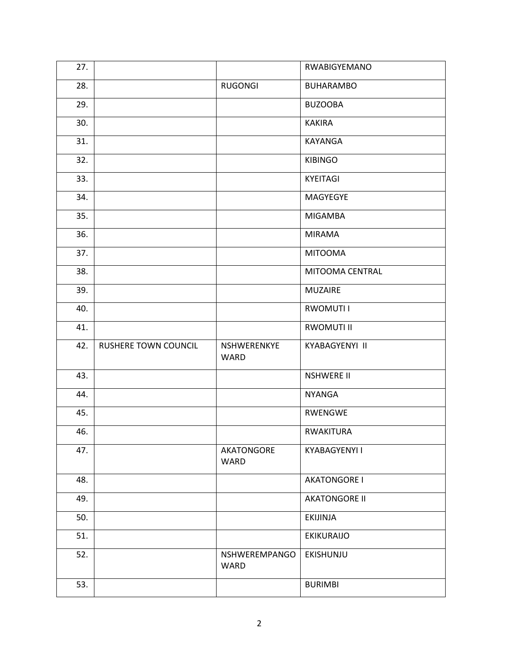| 27. |                      |                            | RWABIGYEMANO         |
|-----|----------------------|----------------------------|----------------------|
| 28. |                      | <b>RUGONGI</b>             | <b>BUHARAMBO</b>     |
| 29. |                      |                            | <b>BUZOOBA</b>       |
| 30. |                      |                            | <b>KAKIRA</b>        |
| 31. |                      |                            | KAYANGA              |
| 32. |                      |                            | <b>KIBINGO</b>       |
| 33. |                      |                            | KYEITAGI             |
| 34. |                      |                            | MAGYEGYE             |
| 35. |                      |                            | <b>MIGAMBA</b>       |
| 36. |                      |                            | <b>MIRAMA</b>        |
| 37. |                      |                            | <b>MITOOMA</b>       |
| 38. |                      |                            | MITOOMA CENTRAL      |
| 39. |                      |                            | <b>MUZAIRE</b>       |
| 40. |                      |                            | <b>RWOMUTI I</b>     |
| 41. |                      |                            | <b>RWOMUTI II</b>    |
|     |                      |                            |                      |
| 42. | RUSHERE TOWN COUNCIL | NSHWERENKYE<br><b>WARD</b> | KYABAGYENYI II       |
| 43. |                      |                            | <b>NSHWERE II</b>    |
| 44. |                      |                            | <b>NYANGA</b>        |
| 45. |                      |                            | <b>RWENGWE</b>       |
| 46. |                      |                            | <b>RWAKITURA</b>     |
| 47. |                      | AKATONGORE<br>WARD         | KYABAGYENYI I        |
| 48. |                      |                            | <b>AKATONGORE I</b>  |
| 49. |                      |                            | <b>AKATONGORE II</b> |
| 50. |                      |                            | EKIJINJA             |
| 51. |                      |                            | <b>EKIKURAIJO</b>    |
| 52. |                      | NSHWEREMPANGO<br>WARD      | EKISHUNJU            |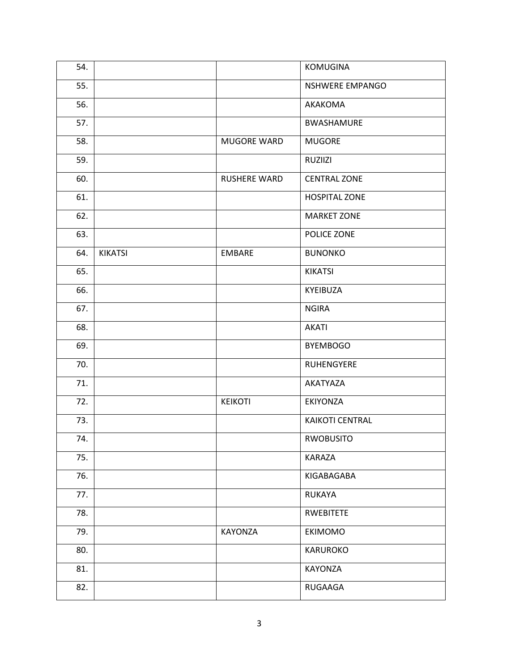| 54. |                |                    | KOMUGINA             |
|-----|----------------|--------------------|----------------------|
| 55. |                |                    | NSHWERE EMPANGO      |
| 56. |                |                    | AKAKOMA              |
| 57. |                |                    | <b>BWASHAMURE</b>    |
| 58. |                | <b>MUGORE WARD</b> | <b>MUGORE</b>        |
| 59. |                |                    | RUZIIZI              |
| 60. |                | RUSHERE WARD       | <b>CENTRAL ZONE</b>  |
| 61. |                |                    | <b>HOSPITAL ZONE</b> |
| 62. |                |                    | <b>MARKET ZONE</b>   |
| 63. |                |                    | POLICE ZONE          |
| 64. | <b>KIKATSI</b> | <b>EMBARE</b>      | <b>BUNONKO</b>       |
| 65. |                |                    | <b>KIKATSI</b>       |
| 66. |                |                    | KYEIBUZA             |
| 67. |                |                    | <b>NGIRA</b>         |
| 68. |                |                    | <b>AKATI</b>         |
| 69. |                |                    | <b>BYEMBOGO</b>      |
| 70. |                |                    | RUHENGYERE           |
| 71. |                |                    | AKATYAZA             |
| 72. |                | <b>KEIKOTI</b>     | EKIYONZA             |
| 73. |                |                    | KAIKOTI CENTRAL      |
| 74. |                |                    | <b>RWOBUSITO</b>     |
| 75. |                |                    | KARAZA               |
| 76. |                |                    | KIGABAGABA           |
| 77. |                |                    | <b>RUKAYA</b>        |
| 78. |                |                    | RWEBITETE            |
| 79. |                | KAYONZA            | EKIMOMO              |
| 80. |                |                    | KARUROKO             |
| 81. |                |                    | KAYONZA              |
| 82. |                |                    | RUGAAGA              |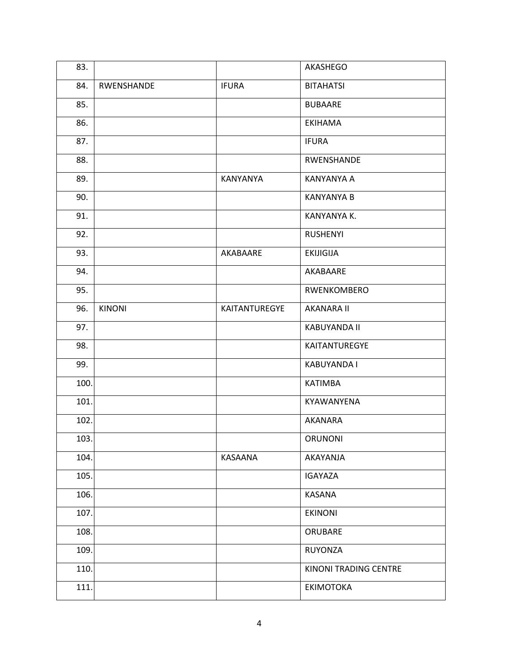| 83.  |               |                 | AKASHEGO              |
|------|---------------|-----------------|-----------------------|
| 84.  | RWENSHANDE    | <b>IFURA</b>    | <b>BITAHATSI</b>      |
| 85.  |               |                 | <b>BUBAARE</b>        |
| 86.  |               |                 | <b>EKIHAMA</b>        |
| 87.  |               |                 | <b>IFURA</b>          |
| 88.  |               |                 | RWENSHANDE            |
| 89.  |               | <b>KANYANYA</b> | <b>KANYANYA A</b>     |
| 90.  |               |                 | <b>KANYANYA B</b>     |
| 91.  |               |                 | KANYANYA K.           |
| 92.  |               |                 | <b>RUSHENYI</b>       |
| 93.  |               | AKABAARE        | <b>EKIJIGIJA</b>      |
| 94.  |               |                 | AKABAARE              |
| 95.  |               |                 | RWENKOMBERO           |
| 96.  | <b>KINONI</b> | KAITANTUREGYE   | <b>AKANARA II</b>     |
| 97.  |               |                 | <b>KABUYANDA II</b>   |
| 98.  |               |                 | KAITANTUREGYE         |
| 99.  |               |                 | KABUYANDA I           |
| 100. |               |                 | <b>KATIMBA</b>        |
| 101. |               |                 | KYAWANYENA            |
| 102. |               |                 | AKANARA               |
| 103. |               |                 | ORUNONI               |
| 104. |               | KASAANA         | AKAYANJA              |
| 105. |               |                 | IGAYAZA               |
| 106. |               |                 | <b>KASANA</b>         |
| 107. |               |                 | <b>EKINONI</b>        |
| 108. |               |                 | ORUBARE               |
| 109. |               |                 | <b>RUYONZA</b>        |
| 110. |               |                 | KINONI TRADING CENTRE |
| 111. |               |                 | ΕΚΙΜΟΤΟΚΑ             |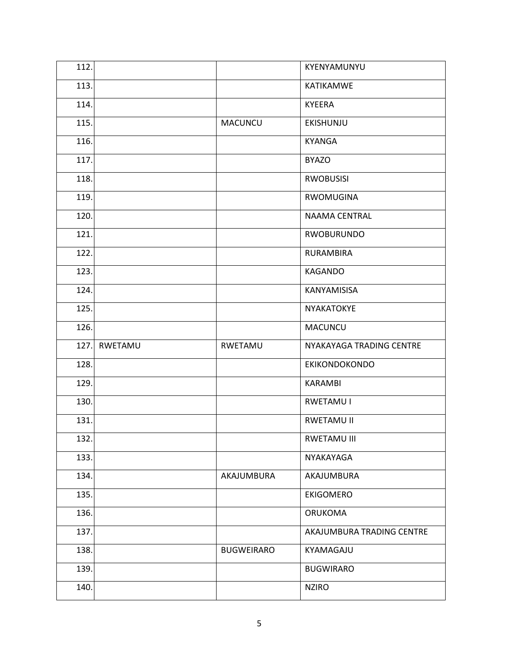| 112. |         |                   | KYENYAMUNYU               |
|------|---------|-------------------|---------------------------|
| 113. |         |                   | KATIKAMWE                 |
| 114. |         |                   | <b>KYEERA</b>             |
| 115. |         | MACUNCU           | EKISHUNJU                 |
| 116. |         |                   | <b>KYANGA</b>             |
| 117. |         |                   | <b>BYAZO</b>              |
| 118. |         |                   | <b>RWOBUSISI</b>          |
| 119. |         |                   | <b>RWOMUGINA</b>          |
| 120. |         |                   | <b>NAAMA CENTRAL</b>      |
| 121. |         |                   | <b>RWOBURUNDO</b>         |
| 122. |         |                   | RURAMBIRA                 |
| 123. |         |                   | KAGANDO                   |
| 124. |         |                   | KANYAMISISA               |
| 125. |         |                   | NYAKATOKYE                |
| 126. |         |                   | MACUNCU                   |
|      |         |                   |                           |
| 127. | RWETAMU | RWETAMU           | NYAKAYAGA TRADING CENTRE  |
| 128. |         |                   | <b>EKIKONDOKONDO</b>      |
| 129. |         |                   | <b>KARAMBI</b>            |
| 130. |         |                   | <b>RWETAMU I</b>          |
| 131. |         |                   | RWETAMU II                |
| 132. |         |                   | RWETAMU III               |
| 133. |         |                   | NYAKAYAGA                 |
| 134. |         | AKAJUMBURA        | AKAJUMBURA                |
| 135. |         |                   | <b>EKIGOMERO</b>          |
| 136. |         |                   | <b>ORUKOMA</b>            |
| 137. |         |                   | AKAJUMBURA TRADING CENTRE |
| 138. |         | <b>BUGWEIRARO</b> | KYAMAGAJU                 |
| 139. |         |                   | <b>BUGWIRARO</b>          |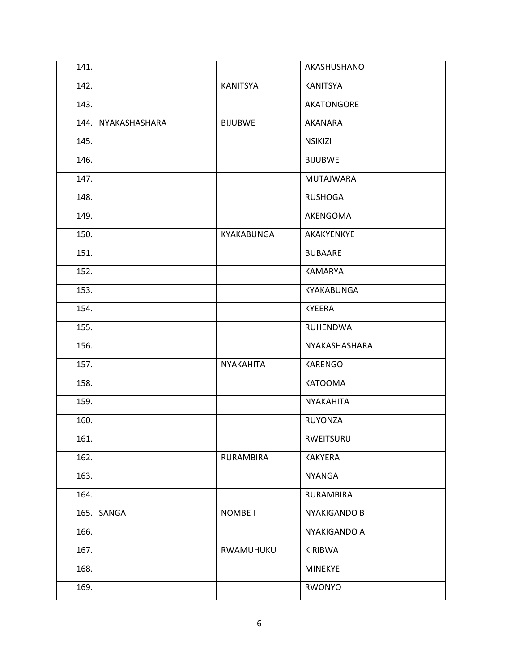| 141. |               |                    | AKASHUSHANO       |
|------|---------------|--------------------|-------------------|
| 142. |               | KANITSYA           | <b>KANITSYA</b>   |
| 143. |               |                    | <b>AKATONGORE</b> |
| 144. | NYAKASHASHARA | <b>BIJUBWE</b>     | <b>AKANARA</b>    |
| 145. |               |                    | <b>NSIKIZI</b>    |
| 146. |               |                    | <b>BIJUBWE</b>    |
| 147. |               |                    | <b>MUTAJWARA</b>  |
| 148. |               |                    | <b>RUSHOGA</b>    |
| 149. |               |                    | AKENGOMA          |
| 150. |               | KYAKABUNGA         | AKAKYENKYE        |
| 151. |               |                    | <b>BUBAARE</b>    |
| 152. |               |                    | <b>KAMARYA</b>    |
| 153. |               |                    | KYAKABUNGA        |
| 154. |               |                    | <b>KYEERA</b>     |
| 155. |               |                    | <b>RUHENDWA</b>   |
| 156. |               |                    | NYAKASHASHARA     |
| 157. |               | NYAKAHITA          | <b>KARENGO</b>    |
| 158. |               |                    | <b>KATOOMA</b>    |
| 159. |               |                    | NYAKAHITA         |
| 160. |               |                    | <b>RUYONZA</b>    |
| 161. |               |                    | RWEITSURU         |
| 162. |               | RURAMBIRA          | <b>KAKYERA</b>    |
| 163. |               |                    | <b>NYANGA</b>     |
| 164. |               |                    | RURAMBIRA         |
| 165. | SANGA         | NOMBE <sub>I</sub> | NYAKIGANDO B      |
| 166. |               |                    | NYAKIGANDO A      |
| 167. |               | RWAMUHUKU          | <b>KIRIBWA</b>    |
| 168. |               |                    | <b>MINEKYE</b>    |
| 169. |               |                    | RWONYO            |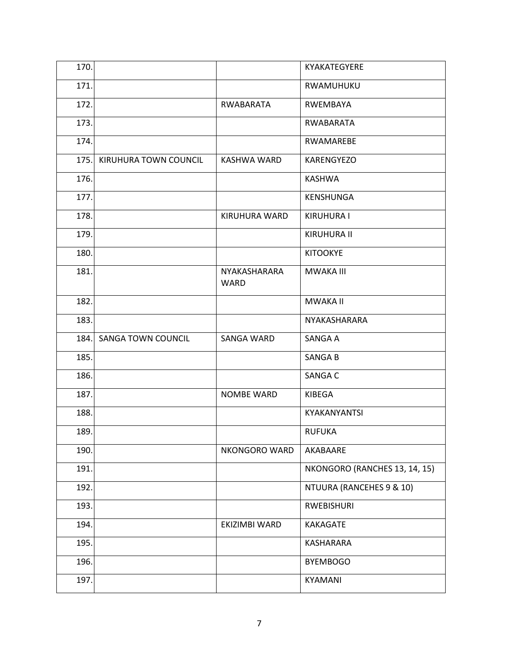| 170. |                           |                             | KYAKATEGYERE                  |
|------|---------------------------|-----------------------------|-------------------------------|
| 171. |                           |                             | RWAMUHUKU                     |
| 172. |                           | RWABARATA                   | <b>RWEMBAYA</b>               |
| 173. |                           |                             | RWABARATA                     |
| 174. |                           |                             | RWAMAREBE                     |
| 175. | KIRUHURA TOWN COUNCIL     | KASHWA WARD                 | <b>KARENGYEZO</b>             |
| 176. |                           |                             | <b>KASHWA</b>                 |
| 177. |                           |                             | KENSHUNGA                     |
| 178. |                           | KIRUHURA WARD               | <b>KIRUHURA I</b>             |
| 179. |                           |                             | <b>KIRUHURA II</b>            |
| 180. |                           |                             | <b>KITOOKYE</b>               |
| 181. |                           | NYAKASHARARA<br><b>WARD</b> | <b>MWAKA III</b>              |
| 182. |                           |                             | <b>MWAKA II</b>               |
| 183. |                           |                             | NYAKASHARARA                  |
| 184. | <b>SANGA TOWN COUNCIL</b> | SANGA WARD                  | SANGA A                       |
| 185. |                           |                             | <b>SANGAB</b>                 |
| 186. |                           |                             | SANGA C                       |
| 187. |                           | <b>NOMBE WARD</b>           | KIBEGA                        |
| 188. |                           |                             | KYAKANYANTSI                  |
| 189. |                           |                             | <b>RUFUKA</b>                 |
| 190. |                           | NKONGORO WARD               | AKABAARE                      |
| 191. |                           |                             | NKONGORO (RANCHES 13, 14, 15) |
| 192. |                           |                             | NTUURA (RANCEHES 9 & 10)      |
| 193. |                           |                             | RWEBISHURI                    |
| 194. |                           | EKIZIMBI WARD               | KAKAGATE                      |
| 195. |                           |                             | KASHARARA                     |
| 196. |                           |                             | <b>BYEMBOGO</b>               |
|      |                           |                             |                               |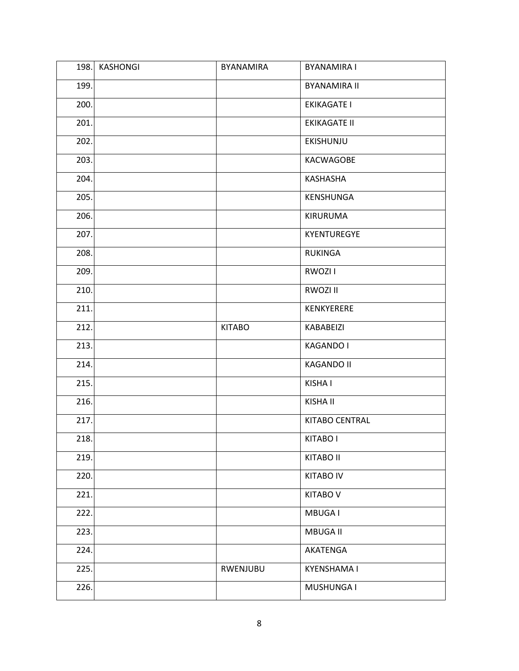| 198. | <b>KASHONGI</b> | BYANAMIRA     | <b>BYANAMIRA I</b>    |
|------|-----------------|---------------|-----------------------|
| 199. |                 |               | <b>BYANAMIRA II</b>   |
| 200. |                 |               | <b>EKIKAGATE I</b>    |
| 201. |                 |               | <b>EKIKAGATE II</b>   |
| 202. |                 |               | EKISHUNJU             |
| 203. |                 |               | KACWAGOBE             |
| 204. |                 |               | KASHASHA              |
| 205. |                 |               | KENSHUNGA             |
| 206. |                 |               | KIRURUMA              |
| 207. |                 |               | KYENTUREGYE           |
| 208. |                 |               | <b>RUKINGA</b>        |
| 209. |                 |               | RWOZI I               |
| 210. |                 |               | RWOZI II              |
| 211. |                 |               | KENKYERERE            |
| 212. |                 | <b>KITABO</b> | KABABEIZI             |
| 213. |                 |               | <b>KAGANDO I</b>      |
| 214. |                 |               | <b>KAGANDO II</b>     |
| 215. |                 |               | KISHA I               |
| 216. |                 |               | KISHA II              |
| 217. |                 |               | <b>KITABO CENTRAL</b> |
| 218. |                 |               | KITABO I              |
| 219. |                 |               | <b>KITABO II</b>      |
| 220. |                 |               | <b>KITABO IV</b>      |
| 221. |                 |               | <b>KITABO V</b>       |
| 222. |                 |               | MBUGA I               |
| 223. |                 |               | MBUGA II              |
| 224. |                 |               | AKATENGA              |
| 225. |                 | RWENJUBU      | <b>KYENSHAMA I</b>    |
| 226. |                 |               | MUSHUNGA I            |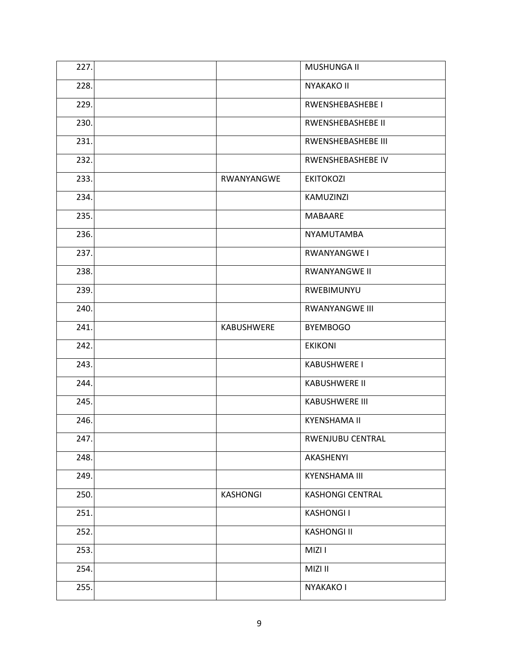| 227. |            | MUSHUNGA II              |
|------|------------|--------------------------|
| 228. |            | <b>NYAKAKO II</b>        |
| 229. |            | RWENSHEBASHEBE I         |
| 230. |            | <b>RWENSHEBASHEBE II</b> |
| 231. |            | RWENSHEBASHEBE III       |
| 232. |            | RWENSHEBASHEBE IV        |
| 233. | RWANYANGWE | <b>EKITOKOZI</b>         |
| 234. |            | KAMUZINZI                |
| 235. |            | <b>MABAARE</b>           |
| 236. |            | <b>NYAMUTAMBA</b>        |
| 237. |            | RWANYANGWE I             |
| 238. |            | <b>RWANYANGWE II</b>     |
| 239. |            | RWEBIMUNYU               |
| 240. |            | <b>RWANYANGWE III</b>    |
| 241. | KABUSHWERE | <b>BYEMBOGO</b>          |
| 242. |            | <b>EKIKONI</b>           |
| 243. |            | <b>KABUSHWERE I</b>      |
| 244. |            | <b>KABUSHWERE II</b>     |
| 245. |            | <b>KABUSHWERE III</b>    |
| 246. |            | <b>KYENSHAMA II</b>      |
| 247. |            | RWENJUBU CENTRAL         |
| 248. |            | AKASHENYI                |
| 249. |            | <b>KYENSHAMA III</b>     |
| 250. | KASHONGI   | <b>KASHONGI CENTRAL</b>  |
| 251. |            | <b>KASHONGII</b>         |
| 252. |            | <b>KASHONGI II</b>       |
| 253. |            | MIZI I                   |
| 254. |            | MIZI II                  |
| 255. |            | NYAKAKO I                |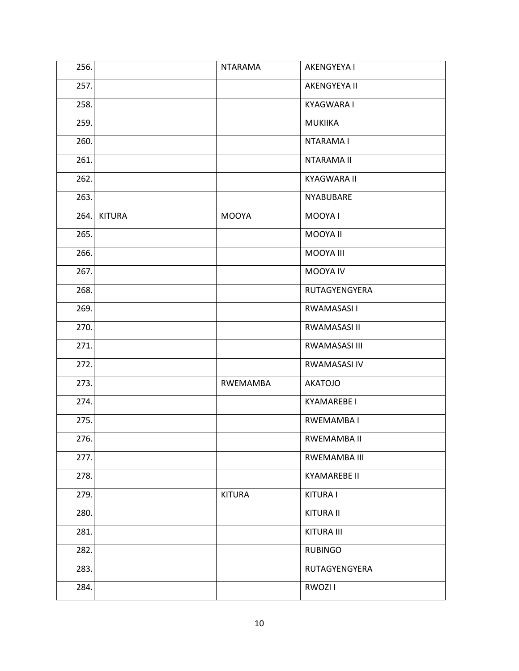| 256. |               | <b>NTARAMA</b>  | <b>AKENGYEYA I</b>  |
|------|---------------|-----------------|---------------------|
| 257. |               |                 | AKENGYEYA II        |
| 258. |               |                 | KYAGWARA I          |
| 259. |               |                 | <b>MUKIIKA</b>      |
| 260. |               |                 | NTARAMA I           |
| 261. |               |                 | <b>NTARAMA II</b>   |
| 262. |               |                 | <b>KYAGWARA II</b>  |
| 263. |               |                 | NYABUBARE           |
| 264. | <b>KITURA</b> | <b>MOOYA</b>    | MOOYA I             |
| 265. |               |                 | MOOYA II            |
| 266. |               |                 | MOOYA III           |
| 267. |               |                 | MOOYA IV            |
| 268. |               |                 | RUTAGYENGYERA       |
| 269. |               |                 | RWAMASASI I         |
| 270. |               |                 | RWAMASASI II        |
| 271. |               |                 | RWAMASASI III       |
| 272. |               |                 | RWAMASASI IV        |
| 273. |               | <b>RWEMAMBA</b> | <b>AKATOJO</b>      |
| 274. |               |                 | <b>KYAMAREBE I</b>  |
| 275. |               |                 | RWEMAMBA I          |
| 276. |               |                 | RWEMAMBA II         |
| 277. |               |                 | RWEMAMBA III        |
| 278. |               |                 | <b>KYAMAREBE II</b> |
| 279. |               | <b>KITURA</b>   | <b>KITURA I</b>     |
| 280. |               |                 | <b>KITURA II</b>    |
| 281. |               |                 | KITURA III          |
| 282. |               |                 | <b>RUBINGO</b>      |
| 283. |               |                 | RUTAGYENGYERA       |
| 284. |               |                 | RWOZI I             |